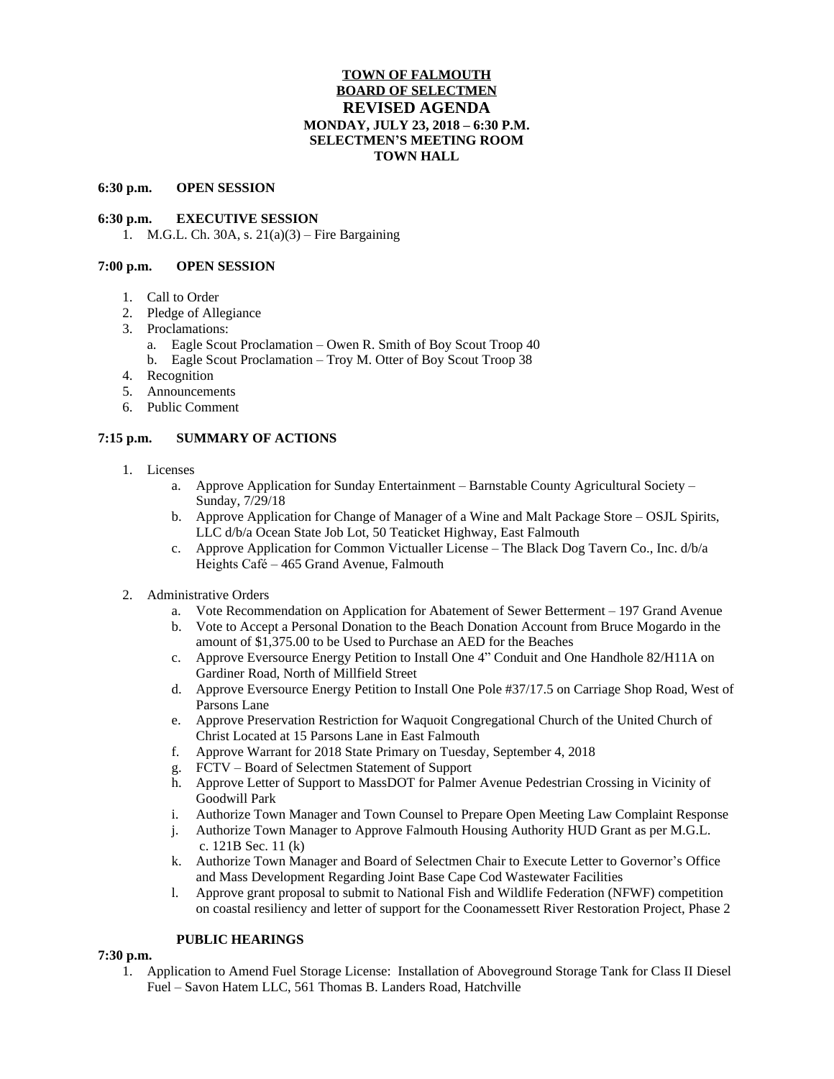# **TOWN OF FALMOUTH BOARD OF SELECTMEN REVISED AGENDA MONDAY, JULY 23, 2018 – 6:30 P.M. SELECTMEN'S MEETING ROOM TOWN HALL**

#### **6:30 p.m. OPEN SESSION**

### **6:30 p.m. EXECUTIVE SESSION**

1. M.G.L. Ch. 30A, s. 21(a)(3) – Fire Bargaining

## **7:00 p.m. OPEN SESSION**

- 1. Call to Order
- 2. Pledge of Allegiance
- 3. Proclamations:
	- a. Eagle Scout Proclamation Owen R. Smith of Boy Scout Troop 40
	- b. Eagle Scout Proclamation Troy M. Otter of Boy Scout Troop 38
- 4. Recognition
- 5. Announcements
- 6. Public Comment

## **7:15 p.m. SUMMARY OF ACTIONS**

- 1. Licenses
	- a. Approve Application for Sunday Entertainment Barnstable County Agricultural Society Sunday, 7/29/18
	- b. Approve Application for Change of Manager of a Wine and Malt Package Store OSJL Spirits, LLC d/b/a Ocean State Job Lot, 50 Teaticket Highway, East Falmouth
	- c. Approve Application for Common Victualler License The Black Dog Tavern Co., Inc. d/b/a Heights Café – 465 Grand Avenue, Falmouth
- 2. Administrative Orders
	- a. Vote Recommendation on Application for Abatement of Sewer Betterment 197 Grand Avenue
	- b. Vote to Accept a Personal Donation to the Beach Donation Account from Bruce Mogardo in the amount of \$1,375.00 to be Used to Purchase an AED for the Beaches
	- c. Approve Eversource Energy Petition to Install One 4" Conduit and One Handhole 82/H11A on Gardiner Road, North of Millfield Street
	- d. Approve Eversource Energy Petition to Install One Pole #37/17.5 on Carriage Shop Road, West of Parsons Lane
	- e. Approve Preservation Restriction for Waquoit Congregational Church of the United Church of Christ Located at 15 Parsons Lane in East Falmouth
	- f. Approve Warrant for 2018 State Primary on Tuesday, September 4, 2018
	- g. FCTV Board of Selectmen Statement of Support
	- h. Approve Letter of Support to MassDOT for Palmer Avenue Pedestrian Crossing in Vicinity of Goodwill Park
	- i. Authorize Town Manager and Town Counsel to Prepare Open Meeting Law Complaint Response
	- j. Authorize Town Manager to Approve Falmouth Housing Authority HUD Grant as per M.G.L. c. 121B Sec. 11 (k)
	- k. Authorize Town Manager and Board of Selectmen Chair to Execute Letter to Governor's Office and Mass Development Regarding Joint Base Cape Cod Wastewater Facilities
	- l. Approve grant proposal to submit to National Fish and Wildlife Federation (NFWF) competition on coastal resiliency and letter of support for the Coonamessett River Restoration Project, Phase 2

## **PUBLIC HEARINGS**

#### **7:30 p.m.**

1. Application to Amend Fuel Storage License: Installation of Aboveground Storage Tank for Class II Diesel Fuel – Savon Hatem LLC, 561 Thomas B. Landers Road, Hatchville